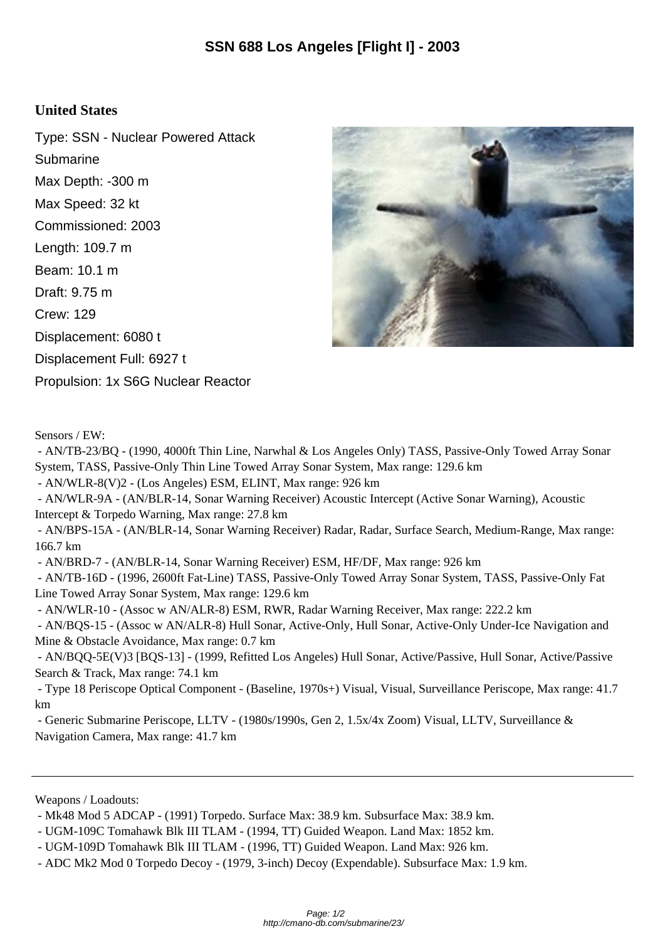## **United States**

Type: SSN - Nuclear Powered Attack Submarine Max Depth: -300 m Max Speed: 32 kt Commissioned: 2003 Length: 109.7 m Beam: 10.1 m Draft: 9.75 m Crew: 129 Displacement: 6080 t Displacement Full: 6927 t Propulsion: 1x S6G Nuclear Reactor



Sensors / EW:

 - AN/TB-23/BQ - (1990, 4000ft Thin Line, Narwhal & Los Angeles Only) TASS, Passive-Only Towed Array Sonar System, TASS, Passive-Only Thin Line Towed Array Sonar System, Max range: 129.6 km

- AN/WLR-8(V)2 - (Los Angeles) ESM, ELINT, Max range: 926 km

 - AN/WLR-9A - (AN/BLR-14, Sonar Warning Receiver) Acoustic Intercept (Active Sonar Warning), Acoustic Intercept & Torpedo Warning, Max range: 27.8 km

 - AN/BPS-15A - (AN/BLR-14, Sonar Warning Receiver) Radar, Radar, Surface Search, Medium-Range, Max range: 166.7 km

- AN/BRD-7 - (AN/BLR-14, Sonar Warning Receiver) ESM, HF/DF, Max range: 926 km

 - AN/TB-16D - (1996, 2600ft Fat-Line) TASS, Passive-Only Towed Array Sonar System, TASS, Passive-Only Fat Line Towed Array Sonar System, Max range: 129.6 km

- AN/WLR-10 - (Assoc w AN/ALR-8) ESM, RWR, Radar Warning Receiver, Max range: 222.2 km

 - AN/BQS-15 - (Assoc w AN/ALR-8) Hull Sonar, Active-Only, Hull Sonar, Active-Only Under-Ice Navigation and Mine & Obstacle Avoidance, Max range: 0.7 km

 - AN/BQQ-5E(V)3 [BQS-13] - (1999, Refitted Los Angeles) Hull Sonar, Active/Passive, Hull Sonar, Active/Passive Search & Track, Max range: 74.1 km

 - Type 18 Periscope Optical Component - (Baseline, 1970s+) Visual, Visual, Surveillance Periscope, Max range: 41.7 km

 - Generic Submarine Periscope, LLTV - (1980s/1990s, Gen 2, 1.5x/4x Zoom) Visual, LLTV, Surveillance & Navigation Camera, Max range: 41.7 km

Weapons / Loadouts:

 <sup>-</sup> Mk48 Mod 5 ADCAP - (1991) Torpedo. Surface Max: 38.9 km. Subsurface Max: 38.9 km.

 <sup>-</sup> UGM-109C Tomahawk Blk III TLAM - (1994, TT) Guided Weapon. Land Max: 1852 km.

 <sup>-</sup> UGM-109D Tomahawk Blk III TLAM - (1996, TT) Guided Weapon. Land Max: 926 km.

 <sup>-</sup> ADC Mk2 Mod 0 Torpedo Decoy - (1979, 3-inch) Decoy (Expendable). Subsurface Max: 1.9 km.